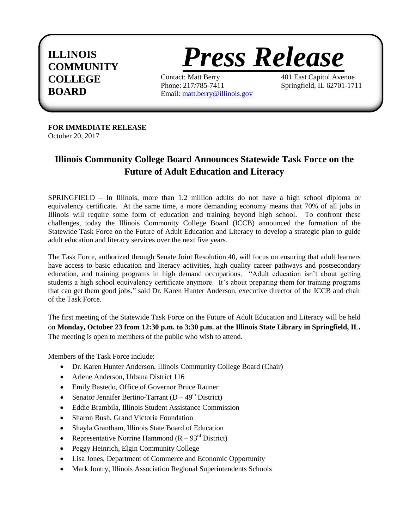## **ILLINOIS**



**COLLEGE** Contact: Matt Berry 401 East Capitol Avenue<br>Phone: 217/785-7411 Springfield, IL 62701-1711 **BOARD** Email:  $\frac{117}{217}$  Email: [matt.berry@illinois.gov](mailto:matt.berry@illinois.gov)

**FOR IMMEDIATE RELEASE**  October 20, 2017

## **Illinois Community College Board Announces Statewide Task Force on the Future of Adult Education and Literacy**

SPRINGFIELD – In Illinois, more than 1.2 million adults do not have a high school diploma or equivalency certificate. At the same time, a more demanding economy means that 70% of all jobs in Illinois will require some form of education and training beyond high school. To confront these challenges, today the Illinois Community College Board (ICCB) announced the formation of the Statewide Task Force on the Future of Adult Education and Literacy to develop a strategic plan to guide adult education and literacy services over the next five years.

The Task Force, authorized through Senate Joint Resolution 40, will focus on ensuring that adult learners have access to basic education and literacy activities, high quality career pathways and postsecondary education, and training programs in high demand occupations. "Adult education isn't about getting students a high school equivalency certificate anymore. It's about preparing them for training programs that can get them good jobs," said Dr. Karen Hunter Anderson, executive director of the ICCB and chair of the Task Force.

The first meeting of the Statewide Task Force on the Future of Adult Education and Literacy will be held on **Monday, October 23 from 12:30 p.m. to 3:30 p.m. at the Illinois State Library in Springfield, IL.** The meeting is open to members of the public who wish to attend.

Members of the Task Force include:

- Dr. Karen Hunter Anderson, Illinois Community College Board (Chair)
- Arlene Anderson, Urbana District 116
- Emily Bastedo, Office of Governor Bruce Rauner
- Senator Jennifer Bertino-Tarrant  $(D 49<sup>th</sup>$  District)
- Eddie Brambila, Illinois Student Assistance Commission
- Sharon Bush, Grand Victoria Foundation
- Shayla Grantham, Illinois State Board of Education
- Representative Norrine Hammond  $(R 93<sup>rd</sup> District)$
- Peggy Heinrich, Elgin Community College
- Lisa Jones, Department of Commerce and Economic Opportunity
- Mark Jontry, Illinois Association Regional Superintendents Schools